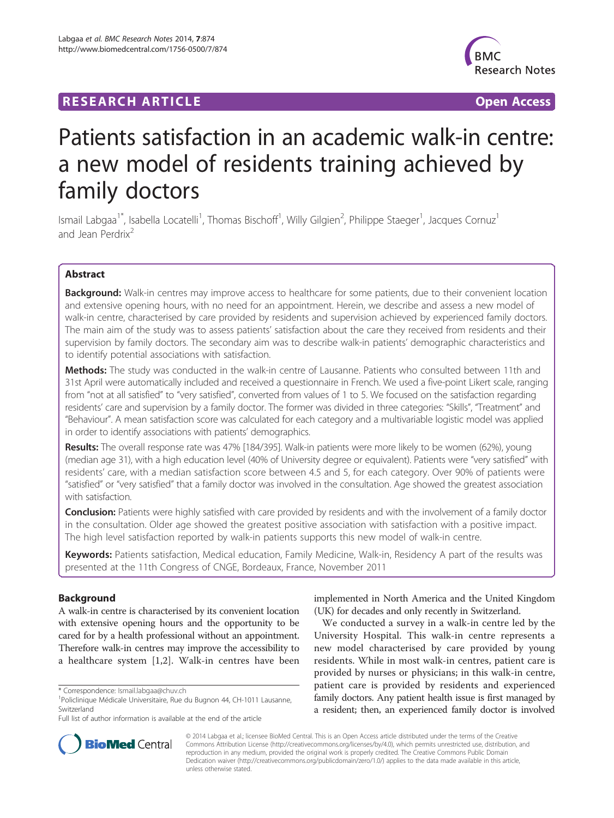# **RESEARCH ARTICLE Example 2018 12:00 Department of the COVID-TIGGS 2019 12:00 Open Access**



# Patients satisfaction in an academic walk-in centre: a new model of residents training achieved by family doctors

Ismail Labgaa<sup>1\*</sup>, Isabella Locatelli<sup>1</sup>, Thomas Bischoff<sup>1</sup>, Willy Gilgien<sup>2</sup>, Philippe Staeger<sup>1</sup>, Jacques Cornuz<sup>1</sup> and Jean Perdrix<sup>2</sup>

# Abstract

Background: Walk-in centres may improve access to healthcare for some patients, due to their convenient location and extensive opening hours, with no need for an appointment. Herein, we describe and assess a new model of walk-in centre, characterised by care provided by residents and supervision achieved by experienced family doctors. The main aim of the study was to assess patients' satisfaction about the care they received from residents and their supervision by family doctors. The secondary aim was to describe walk-in patients' demographic characteristics and to identify potential associations with satisfaction.

Methods: The study was conducted in the walk-in centre of Lausanne. Patients who consulted between 11th and 31st April were automatically included and received a questionnaire in French. We used a five-point Likert scale, ranging from "not at all satisfied" to "very satisfied", converted from values of 1 to 5. We focused on the satisfaction regarding residents' care and supervision by a family doctor. The former was divided in three categories: "Skills", "Treatment" and "Behaviour". A mean satisfaction score was calculated for each category and a multivariable logistic model was applied in order to identify associations with patients' demographics.

Results: The overall response rate was 47% [184/395]. Walk-in patients were more likely to be women (62%), young (median age 31), with a high education level (40% of University degree or equivalent). Patients were "very satisfied" with residents' care, with a median satisfaction score between 4.5 and 5, for each category. Over 90% of patients were "satisfied" or "very satisfied" that a family doctor was involved in the consultation. Age showed the greatest association with satisfaction.

**Conclusion:** Patients were highly satisfied with care provided by residents and with the involvement of a family doctor in the consultation. Older age showed the greatest positive association with satisfaction with a positive impact. The high level satisfaction reported by walk-in patients supports this new model of walk-in centre.

Keywords: Patients satisfaction, Medical education, Family Medicine, Walk-in, Residency A part of the results was presented at the 11th Congress of CNGE, Bordeaux, France, November 2011

# Background

A walk-in centre is characterised by its convenient location with extensive opening hours and the opportunity to be cared for by a health professional without an appointment. Therefore walk-in centres may improve the accessibility to a healthcare system [[1,2\]](#page-3-0). Walk-in centres have been

implemented in North America and the United Kingdom (UK) for decades and only recently in Switzerland.

We conducted a survey in a walk-in centre led by the University Hospital. This walk-in centre represents a new model characterised by care provided by young residents. While in most walk-in centres, patient care is provided by nurses or physicians; in this walk-in centre, patient care is provided by residents and experienced family doctors. Any patient health issue is first managed by a resident; then, an experienced family doctor is involved



© 2014 Labgaa et al.; licensee BioMed Central. This is an Open Access article distributed under the terms of the Creative Commons Attribution License [\(http://creativecommons.org/licenses/by/4.0\)](http://creativecommons.org/licenses/by/4.0), which permits unrestricted use, distribution, and reproduction in any medium, provided the original work is properly credited. The Creative Commons Public Domain Dedication waiver [\(http://creativecommons.org/publicdomain/zero/1.0/](http://creativecommons.org/publicdomain/zero/1.0/)) applies to the data made available in this article, unless otherwise stated.

<sup>\*</sup> Correspondence: [Ismail.labgaa@chuv.ch](mailto:Ismail.labgaa@chuv.ch) <sup>1</sup>

<sup>&</sup>lt;sup>1</sup>Policlinique Médicale Universitaire, Rue du Bugnon 44, CH-1011 Lausanne, Switzerland

Full list of author information is available at the end of the article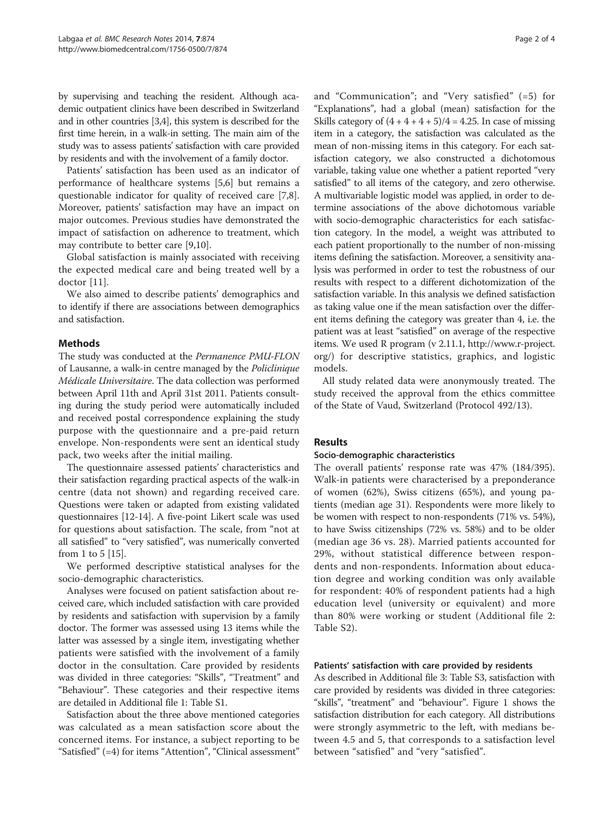by supervising and teaching the resident. Although academic outpatient clinics have been described in Switzerland and in other countries [\[3,4](#page-3-0)], this system is described for the first time herein, in a walk-in setting. The main aim of the study was to assess patients' satisfaction with care provided by residents and with the involvement of a family doctor.

Patients' satisfaction has been used as an indicator of performance of healthcare systems [\[5,6](#page-3-0)] but remains a questionable indicator for quality of received care [\[7,8](#page-3-0)]. Moreover, patients' satisfaction may have an impact on major outcomes. Previous studies have demonstrated the impact of satisfaction on adherence to treatment, which may contribute to better care [[9,10\]](#page-3-0).

Global satisfaction is mainly associated with receiving the expected medical care and being treated well by a doctor [[11](#page-3-0)].

We also aimed to describe patients' demographics and to identify if there are associations between demographics and satisfaction.

## Methods

The study was conducted at the Permanence PMU-FLON of Lausanne, a walk-in centre managed by the Policlinique Médicale Universitaire. The data collection was performed between April 11th and April 31st 2011. Patients consulting during the study period were automatically included and received postal correspondence explaining the study purpose with the questionnaire and a pre-paid return envelope. Non-respondents were sent an identical study pack, two weeks after the initial mailing.

The questionnaire assessed patients' characteristics and their satisfaction regarding practical aspects of the walk-in centre (data not shown) and regarding received care. Questions were taken or adapted from existing validated questionnaires [\[12-14\]](#page-3-0). A five-point Likert scale was used for questions about satisfaction. The scale, from "not at all satisfied" to "very satisfied", was numerically converted from 1 to 5 [\[15](#page-3-0)].

We performed descriptive statistical analyses for the socio-demographic characteristics.

Analyses were focused on patient satisfaction about received care, which included satisfaction with care provided by residents and satisfaction with supervision by a family doctor. The former was assessed using 13 items while the latter was assessed by a single item, investigating whether patients were satisfied with the involvement of a family doctor in the consultation. Care provided by residents was divided in three categories: "Skills", "Treatment" and "Behaviour". These categories and their respective items are detailed in Additional file [1:](#page-3-0) Table S1.

Satisfaction about the three above mentioned categories was calculated as a mean satisfaction score about the concerned items. For instance, a subject reporting to be "Satisfied" (=4) for items "Attention", "Clinical assessment"

and "Communication"; and "Very satisfied" (=5) for "Explanations", had a global (mean) satisfaction for the Skills category of  $(4 + 4 + 4 + 5)/4 = 4.25$ . In case of missing item in a category, the satisfaction was calculated as the mean of non-missing items in this category. For each satisfaction category, we also constructed a dichotomous variable, taking value one whether a patient reported "very satisfied" to all items of the category, and zero otherwise. A multivariable logistic model was applied, in order to determine associations of the above dichotomous variable with socio-demographic characteristics for each satisfaction category. In the model, a weight was attributed to each patient proportionally to the number of non-missing items defining the satisfaction. Moreover, a sensitivity analysis was performed in order to test the robustness of our results with respect to a different dichotomization of the satisfaction variable. In this analysis we defined satisfaction as taking value one if the mean satisfaction over the different items defining the category was greater than 4, i.e. the patient was at least "satisfied" on average of the respective items. We used R program (v 2.11.1, [http://www.r-project.](http://www.r-project.org/) [org/](http://www.r-project.org/)) for descriptive statistics, graphics, and logistic models.

All study related data were anonymously treated. The study received the approval from the ethics committee of the State of Vaud, Switzerland (Protocol 492/13).

#### Results

#### Socio-demographic characteristics

The overall patients' response rate was 47% (184/395). Walk-in patients were characterised by a preponderance of women (62%), Swiss citizens (65%), and young patients (median age 31). Respondents were more likely to be women with respect to non-respondents (71% vs. 54%), to have Swiss citizenships (72% vs. 58%) and to be older (median age 36 vs. 28). Married patients accounted for 29%, without statistical difference between respondents and non-respondents. Information about education degree and working condition was only available for respondent: 40% of respondent patients had a high education level (university or equivalent) and more than 80% were working or student (Additional file [2](#page-3-0): Table S2).

#### Patients' satisfaction with care provided by residents

As described in Additional file [3:](#page-3-0) Table S3, satisfaction with care provided by residents was divided in three categories: "skills", "treatment" and "behaviour". Figure [1](#page-2-0) shows the satisfaction distribution for each category. All distributions were strongly asymmetric to the left, with medians between 4.5 and 5, that corresponds to a satisfaction level between "satisfied" and "very "satisfied".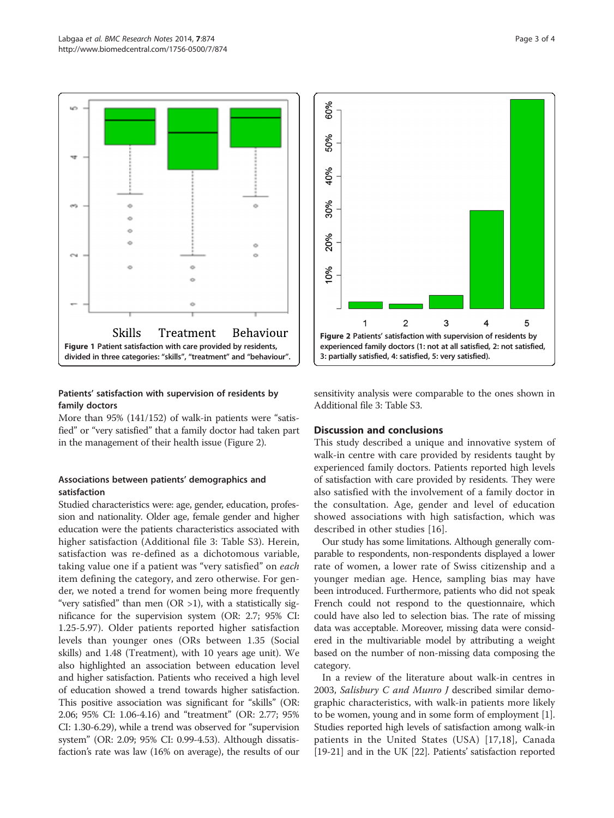<span id="page-2-0"></span>

# Patients' satisfaction with supervision of residents by family doctors

More than 95% (141/152) of walk-in patients were "satisfied" or "very satisfied" that a family doctor had taken part in the management of their health issue (Figure 2).

# Associations between patients' demographics and satisfaction

Studied characteristics were: age, gender, education, profession and nationality. Older age, female gender and higher education were the patients characteristics associated with higher satisfaction (Additional file [3:](#page-3-0) Table S3). Herein, satisfaction was re-defined as a dichotomous variable, taking value one if a patient was "very satisfied" on each item defining the category, and zero otherwise. For gender, we noted a trend for women being more frequently "very satisfied" than men  $(OR >1)$ , with a statistically significance for the supervision system (OR: 2.7; 95% CI: 1.25-5.97). Older patients reported higher satisfaction levels than younger ones (ORs between 1.35 (Social skills) and 1.48 (Treatment), with 10 years age unit). We also highlighted an association between education level and higher satisfaction. Patients who received a high level of education showed a trend towards higher satisfaction. This positive association was significant for "skills" (OR: 2.06; 95% CI: 1.06-4.16) and "treatment" (OR: 2.77; 95% CI: 1.30-6.29), while a trend was observed for "supervision system" (OR: 2.09; 95% CI: 0.99-4.53). Although dissatisfaction's rate was law (16% on average), the results of our



sensitivity analysis were comparable to the ones shown in Additional file [3](#page-3-0): Table S3.

#### Discussion and conclusions

This study described a unique and innovative system of walk-in centre with care provided by residents taught by experienced family doctors. Patients reported high levels of satisfaction with care provided by residents. They were also satisfied with the involvement of a family doctor in the consultation. Age, gender and level of education showed associations with high satisfaction, which was described in other studies [\[16](#page-3-0)].

Our study has some limitations. Although generally comparable to respondents, non-respondents displayed a lower rate of women, a lower rate of Swiss citizenship and a younger median age. Hence, sampling bias may have been introduced. Furthermore, patients who did not speak French could not respond to the questionnaire, which could have also led to selection bias. The rate of missing data was acceptable. Moreover, missing data were considered in the multivariable model by attributing a weight based on the number of non-missing data composing the category.

In a review of the literature about walk-in centres in 2003, Salisbury C and Munro J described similar demographic characteristics, with walk-in patients more likely to be women, young and in some form of employment [[1](#page-3-0)]. Studies reported high levels of satisfaction among walk-in patients in the United States (USA) [[17,18\]](#page-3-0), Canada [[19](#page-3-0)-[21\]](#page-3-0) and in the UK [\[22\]](#page-3-0). Patients' satisfaction reported